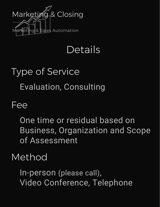

## Details

# Type of Service Evaluation, Consulting

#### Fee

One time or residual based on Business, Organization and Scope of Assessment

#### Method

In-person (please call), Video Conference, Telephone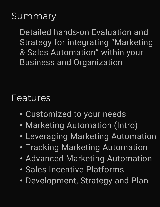#### **Summary**

Detailed hands-on Evaluation and Strategy for integrating "Marketing & Sales Automation" within your Business and Organization

#### Features

- Customized to your needs
- Marketing Automation (Intro)
- Leveraging Marketing Automation
- Tracking Marketing Automation
- Advanced Marketing Automation
- Sales Incentive Platforms
- Development, Strategy and Plan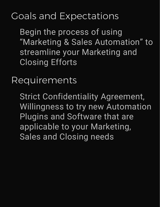### Goals and Expectations

Begin the process of using "Marketing & Sales Automation" to streamline your Marketing and Closing Efforts

Requirements

Strict Confidentiality Agreement, Willingness to try new Automation Plugins and Software that are applicable to your Marketing, Sales and Closing needs